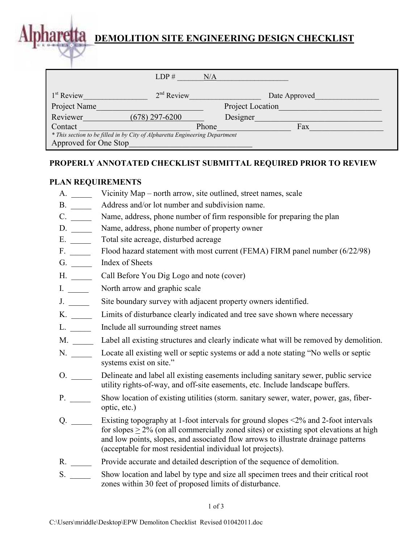## **DEMOLITION SITE ENGINEERING DESIGN CHECKLIST**

|                                                                             | LDP#<br>N/A      |                  |
|-----------------------------------------------------------------------------|------------------|------------------|
| $1st$ Review                                                                | $2nd$ Review     | Date Approved    |
| Project Name                                                                |                  | Project Location |
| Reviewer                                                                    | $(678)$ 297-6200 | Designer         |
| Contact                                                                     | Phone            | Fax              |
| * This section to be filled in by City of Alpharetta Engineering Department |                  |                  |
| Approved for One Stop                                                       |                  |                  |

## **PROPERLY ANNOTATED CHECKLIST SUBMITTAL REQUIRED PRIOR TO REVIEW**

## **PLAN REQUIREMENTS**

- A. \_\_\_\_\_ Vicinity Map north arrow, site outlined, street names, scale
- B. \_\_\_\_\_\_\_\_ Address and/or lot number and subdivision name.
- C. \_\_\_\_\_ Name, address, phone number of firm responsible for preparing the plan
- D. Name, address, phone number of property owner
- E. \_\_\_\_\_ Total site acreage, disturbed acreage
- F. \_\_\_\_\_ Flood hazard statement with most current (FEMA) FIRM panel number (6/22/98)
- G. \_\_\_\_\_\_\_ Index of Sheets
- H. \_\_\_\_\_\_ Call Before You Dig Logo and note (cover)
- I. North arrow and graphic scale
- J. Site boundary survey with adjacent property owners identified.
- K. \_\_\_\_\_ Limits of disturbance clearly indicated and tree save shown where necessary
- L. \_\_\_\_\_ Include all surrounding street names
- M. \_\_\_\_\_ Label all existing structures and clearly indicate what will be removed by demolition.
- N. \_\_\_\_\_\_ Locate all existing well or septic systems or add a note stating "No wells or septic systems exist on site."
- O. \_\_\_\_\_ Delineate and label all existing easements including sanitary sewer, public service utility rights-of-way, and off-site easements, etc. Include landscape buffers.
- P. \_\_\_\_\_\_\_\_ Show location of existing utilities (storm. sanitary sewer, water, power, gas, fiberoptic, etc.)
- Q.  $\qquad \qquad$  Existing topography at 1-foot intervals for ground slopes <2% and 2-foot intervals for slopes  $> 2\%$  (on all commercially zoned sites) or existing spot elevations at high and low points, slopes, and associated flow arrows to illustrate drainage patterns (acceptable for most residential individual lot projects).
- R. \_\_\_\_\_\_ Provide accurate and detailed description of the sequence of demolition.
- S. Show location and label by type and size all specimen trees and their critical root zones within 30 feet of proposed limits of disturbance.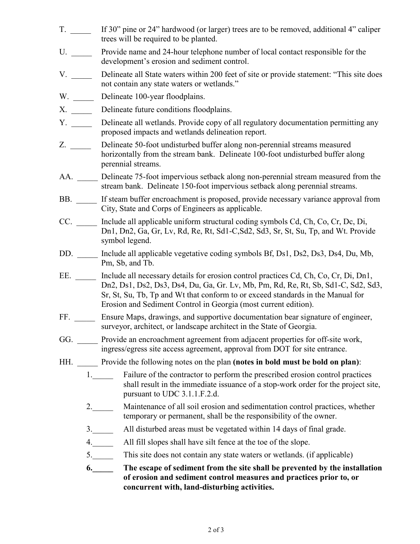- T. \_\_\_\_\_ If 30" pine or 24" hardwood (or larger) trees are to be removed, additional 4" caliper trees will be required to be planted.
- U. \_\_\_\_\_ Provide name and 24-hour telephone number of local contact responsible for the development's erosion and sediment control.
- V. \_\_\_\_\_ Delineate all State waters within 200 feet of site or provide statement: "This site does not contain any state waters or wetlands."
- W. \_\_\_\_\_\_\_ Delineate 100-year floodplains.
- X. \_\_\_\_\_\_ Delineate future conditions floodplains.
- Y. \_\_\_\_\_ Delineate all wetlands. Provide copy of all regulatory documentation permitting any proposed impacts and wetlands delineation report.
- Z. \_\_\_\_\_ Delineate 50-foot undisturbed buffer along non-perennial streams measured horizontally from the stream bank. Delineate 100-foot undisturbed buffer along perennial streams.
- AA. \_\_\_\_\_\_ Delineate 75-foot impervious setback along non-perennial stream measured from the stream bank. Delineate 150-foot impervious setback along perennial streams.
- BB. \_\_\_\_\_ If steam buffer encroachment is proposed, provide necessary variance approval from City, State and Corps of Engineers as applicable.
- CC. \_\_\_\_\_ Include all applicable uniform structural coding symbols Cd, Ch, Co, Cr, Dc, Di, Dn1, Dn2, Ga, Gr, Lv, Rd, Re, Rt, Sd1-C,Sd2, Sd3, Sr, St, Su, Tp, and Wt. Provide symbol legend.
- DD. \_\_\_\_\_ Include all applicable vegetative coding symbols Bf, Ds1, Ds2, Ds3, Ds4, Du, Mb, Pm, Sb, and Tb.
- EE. Include all necessary details for erosion control practices Cd, Ch, Co, Cr, Di, Dn1, Dn2, Ds1, Ds2, Ds3, Ds4, Du, Ga, Gr. Lv, Mb, Pm, Rd, Re, Rt, Sb, Sd1-C, Sd2, Sd3, Sr, St, Su, Tb, Tp and Wt that conform to or exceed standards in the Manual for Erosion and Sediment Control in Georgia (most current edition).
- FF. \_\_\_\_\_\_ Ensure Maps, drawings, and supportive documentation bear signature of engineer, surveyor, architect, or landscape architect in the State of Georgia.
- GG. Provide an encroachment agreement from adjacent properties for off-site work, ingress/egress site access agreement, approval from DOT for site entrance.
- HH. \_\_\_\_\_ Provide the following notes on the plan **(notes in bold must be bold on plan)**:
	- 1.\_\_\_\_\_ Failure of the contractor to perform the prescribed erosion control practices shall result in the immediate issuance of a stop-work order for the project site, pursuant to UDC 3.1.1.F.2.d.
	- 2.\_\_\_\_\_ Maintenance of all soil erosion and sedimentation control practices, whether temporary or permanent, shall be the responsibility of the owner.
	- 3.\_\_\_\_\_ All disturbed areas must be vegetated within 14 days of final grade.
	- 4. All fill slopes shall have silt fence at the toe of the slope.
	- 5. This site does not contain any state waters or wetlands. (if applicable)
	- **6.\_\_\_\_\_ The escape of sediment from the site shall be prevented by the installation of erosion and sediment control measures and practices prior to, or concurrent with, land-disturbing activities.**